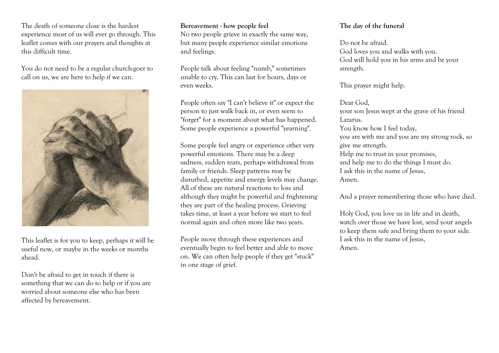The death of someone close is the hardest experience most of us will ever go through. This leaflet comes with our prayers and thoughts at this difficult time.

You do not need to be a regular church-goer to call on us, we are here to help if we can.



This leaflet is for you to keep, perhaps it will be useful now, or maybe in the weeks or months ahead.

Don't be afraid to get in touch if there is something that we can do to help or if you are worried about someone else who has been affected by bereavement.

#### **Bereavement - how people feel**

No two people grieve in exactly the same way, but many people experience similar emotions and feelings.

People talk about feeling "numb," sometimes unable to cry. This can last for hours, days or even weeks.

People often say "I can't believe it" or expect the person to just walk back in, or even seem to "forget" for a moment about what has happened. Some people experience a powerful "yearning".

Some people feel angry or experience other very powerful emotions. There may be a deep sadness, sudden tears, perhaps withdrawal from family or friends. Sleep patterns may be disturbed, appetite and energy levels may change. All of these are natural reactions to loss and although they might be powerful and frightening they are part of the healing process. Grieving takes time, at least a year before we start to feel normal again and often more like two years.

People move through these experiences and eventually begin to feel better and able to move on. We can often help people if they get "stuck" in one stage of grief.

## **The day of the funeral**

Do not be afraid. God loves you and walks with you. God will hold you in his arms and be your strength.

This prayer might help.

Dear God, your son Jesus wept at the grave of his friend Lazarus. You know how I feel today, you are with me and you are my strong rock, so give me strength. Help me to trust in your promises, and help me to do the things I must do. I ask this in the name of Jesus, Amen.

And a prayer remembering those who have died.

Holy God, you love us in life and in death, watch over those we have lost, send your angels to keep them safe and bring them to your side. I ask this in the name of Jesus, Amen.